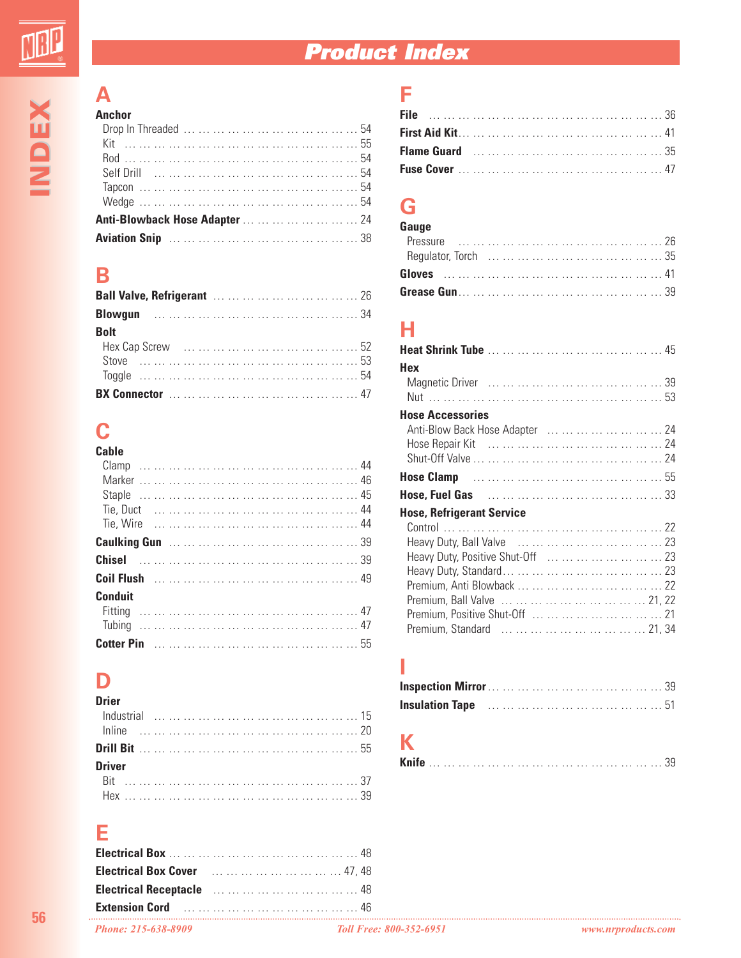# **Product Index**

#### **A Anchor**

| AIIGHUL                               |
|---------------------------------------|
|                                       |
| Kit ……………………………………………………55            |
|                                       |
|                                       |
|                                       |
|                                       |
| Anti-Blowback Hose Adapter         24 |
|                                       |

### **B**

| <b>Bolt</b> |  |
|-------------|--|
|             |  |
|             |  |
|             |  |
|             |  |

# **C**

| Cable          |  |  |  |  |  |  |  |
|----------------|--|--|--|--|--|--|--|
|                |  |  |  |  |  |  |  |
|                |  |  |  |  |  |  |  |
|                |  |  |  |  |  |  |  |
|                |  |  |  |  |  |  |  |
|                |  |  |  |  |  |  |  |
|                |  |  |  |  |  |  |  |
|                |  |  |  |  |  |  |  |
|                |  |  |  |  |  |  |  |
| <b>Conduit</b> |  |  |  |  |  |  |  |
|                |  |  |  |  |  |  |  |
|                |  |  |  |  |  |  |  |
|                |  |  |  |  |  |  |  |

# **D**

| Drier         |  |  |  |  |  |  |  |
|---------------|--|--|--|--|--|--|--|
|               |  |  |  |  |  |  |  |
|               |  |  |  |  |  |  |  |
|               |  |  |  |  |  |  |  |
| <b>Driver</b> |  |  |  |  |  |  |  |
|               |  |  |  |  |  |  |  |
|               |  |  |  |  |  |  |  |

#### **E**

| <b>Electrical Box</b> 48                                            |                                |                    |
|---------------------------------------------------------------------|--------------------------------|--------------------|
| <b>Electrical Box Cover</b> 1.1.1.1.1.1.1.1.1.1.1.1.1.1.1.1.1.47,48 |                                |                    |
|                                                                     |                                |                    |
|                                                                     |                                |                    |
| Phone: 215-638-8909                                                 | <b>Toll Free: 800-352-6951</b> | www.nrproducts.com |

### **F**

# **G**

| Gauge |  |  |  |
|-------|--|--|--|
|       |  |  |  |
|       |  |  |  |
|       |  |  |  |
|       |  |  |  |

#### **H**

| Hex                                                                         |  |
|-----------------------------------------------------------------------------|--|
|                                                                             |  |
| <b>Hose Accessories</b>                                                     |  |
| Anti-Blow Back Hose Adapter         24                                      |  |
|                                                                             |  |
|                                                                             |  |
|                                                                             |  |
| Hose, Fuel Gas Manual Allen Allen Allen Allen Allen Allen Allen Allen Allen |  |
| <b>Hose, Refrigerant Service</b>                                            |  |
|                                                                             |  |
|                                                                             |  |
| Heavy Duty, Positive Shut-Off         23                                    |  |
|                                                                             |  |
|                                                                             |  |
|                                                                             |  |
|                                                                             |  |
|                                                                             |  |
|                                                                             |  |

#### **I**

| <b>Insulation Tape</b> 2012, 2014, 2014, 2015, 2016, 2017, 2018, 2017, 2017, 2017, 2017, 2017, 2017, 2017, 2017, 2017, 2017, 2017, 2017, 2017, 2017, 2017, 2017, 2017, 2017, 2017, 2017, 2017, 2017, 2017, 2017, 2017, 2017, 2017, |  |  |  |  |  |  |  |
|------------------------------------------------------------------------------------------------------------------------------------------------------------------------------------------------------------------------------------|--|--|--|--|--|--|--|

## **K**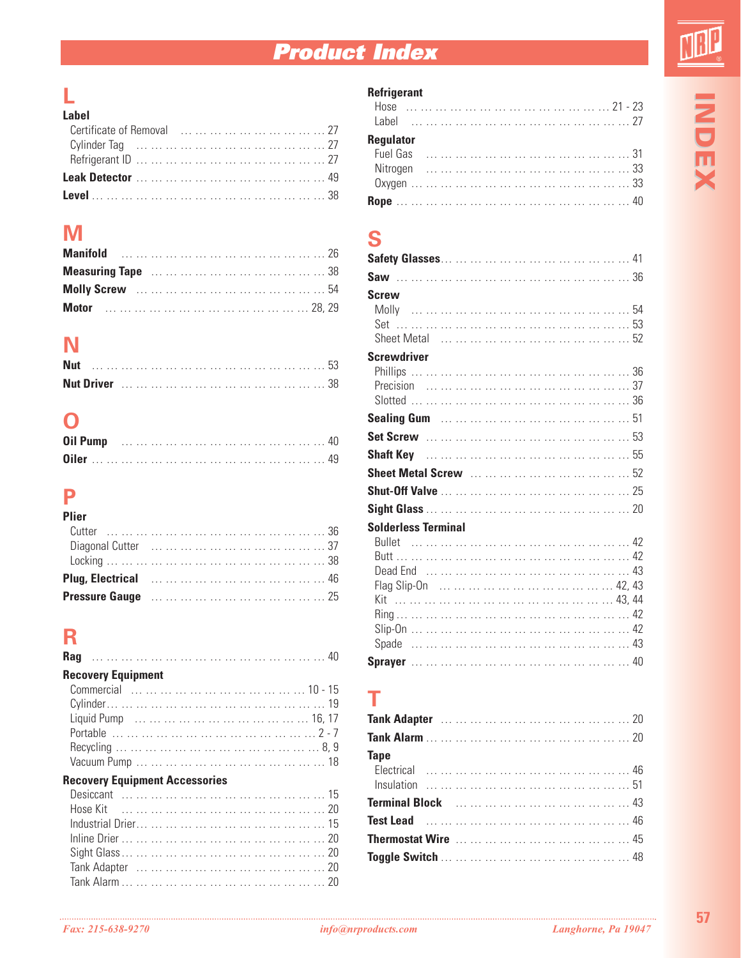# **Product Index**

**INDEX**

# **L**

| Label |                                    |  |
|-------|------------------------------------|--|
|       | Certificate of Removal          27 |  |
|       |                                    |  |
|       |                                    |  |
|       |                                    |  |
|       |                                    |  |

### **M**

# **N**

| Nut |  |  |  |  |  |  |  |
|-----|--|--|--|--|--|--|--|
|     |  |  |  |  |  |  |  |

### **O**

#### **P Plier**

| Plier |  |  |  |  |  |  |
|-------|--|--|--|--|--|--|
|       |  |  |  |  |  |  |
|       |  |  |  |  |  |  |
|       |  |  |  |  |  |  |
|       |  |  |  |  |  |  |
|       |  |  |  |  |  |  |

### **R**

| <b>Recovery Equipment</b>             |  |
|---------------------------------------|--|
|                                       |  |
|                                       |  |
|                                       |  |
|                                       |  |
|                                       |  |
|                                       |  |
| <b>Peacuery Equipment Accessories</b> |  |

#### **Recovery Equipment Accessories**

#### **Refrigerant**

| <b>Regulator</b> |  |  |
|------------------|--|--|
|                  |  |  |
|                  |  |  |
|                  |  |  |
|                  |  |  |

#### **S**

| <b>Screw</b>               |
|----------------------------|
|                            |
|                            |
| <b>Screwdriver</b>         |
|                            |
|                            |
|                            |
|                            |
|                            |
|                            |
| <b>Solderless Terminal</b> |
| Kit                        |
|                            |

#### **T**

| <b>Tape Example 19</b> |  |  |  |  |  |  |  |
|------------------------|--|--|--|--|--|--|--|
|                        |  |  |  |  |  |  |  |
|                        |  |  |  |  |  |  |  |
|                        |  |  |  |  |  |  |  |
|                        |  |  |  |  |  |  |  |
|                        |  |  |  |  |  |  |  |